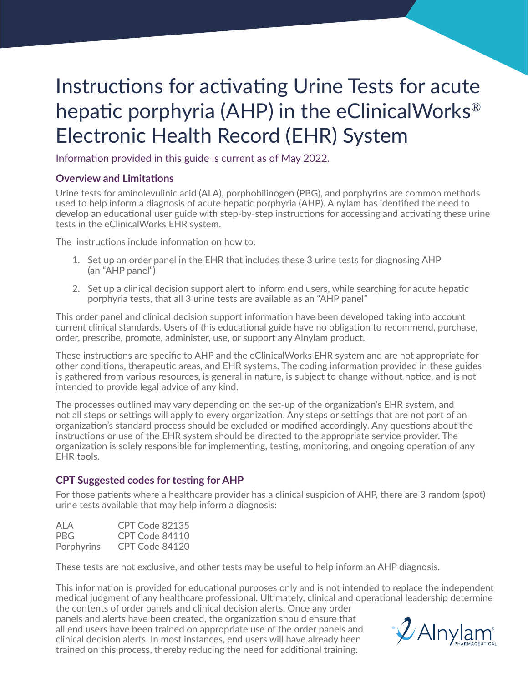# Instructions for activating Urine Tests for acute hepatic porphyria (AHP) in the eClinicalWorks® Electronic Health Record (EHR) System

Information provided in this guide is current as of May 2022.

#### **Overview and Limitations**

Urine tests for aminolevulinic acid (ALA), porphobilinogen (PBG), and porphyrins are common methods used to help inform a diagnosis of acute hepatic porphyria (AHP). Alnylam has identified the need to develop an educational user guide with step-by-step instructions for accessing and activating these urine tests in the eClinicalWorks EHR system.

The instructions include information on how to:

- 1. Set up an order panel in the EHR that includes these 3 urine tests for diagnosing AHP (an "AHP panel")
- 2. Set up a clinical decision support alert to inform end users, while searching for acute hepatic porphyria tests, that all 3 urine tests are available as an "AHP panel"

This order panel and clinical decision support information have been developed taking into account current clinical standards. Users of this educational guide have no obligation to recommend, purchase, order, prescribe, promote, administer, use, or support any Alnylam product.

These instructions are specific to AHP and the eClinicalWorks EHR system and are not appropriate for other conditions, therapeutic areas, and EHR systems. The coding information provided in these guides is gathered from various resources, is general in nature, is subject to change without notice, and is not intended to provide legal advice of any kind.

The processes outlined may vary depending on the set-up of the organization's EHR system, and not all steps or settings will apply to every organization. Any steps or settings that are not part of an organization's standard process should be excluded or modified accordingly. Any questions about the instructions or use of the EHR system should be directed to the appropriate service provider. The organization is solely responsible for implementing, testing, monitoring, and ongoing operation of any EHR tools.

#### **CPT Suggested codes for testing for AHP**

For those patients where a healthcare provider has a clinical suspicion of AHP, there are 3 random (spot) urine tests available that may help inform a diagnosis:

| ALA        | CPT Code 82135 |
|------------|----------------|
| PBG.       | CPT Code 84110 |
| Porphyrins | CPT Code 84120 |

These tests are not exclusive, and other tests may be useful to help inform an AHP diagnosis.

This information is provided for educational purposes only and is not intended to replace the independent medical judgment of any healthcare professional. Ultimately, clinical and operational leadership determine the contents of order panels and clinical decision alerts. Once any order

panels and alerts have been created, the organization should ensure that all end users have been trained on appropriate use of the order panels and clinical decision alerts. In most instances, end users will have already been trained on this process, thereby reducing the need for additional training.

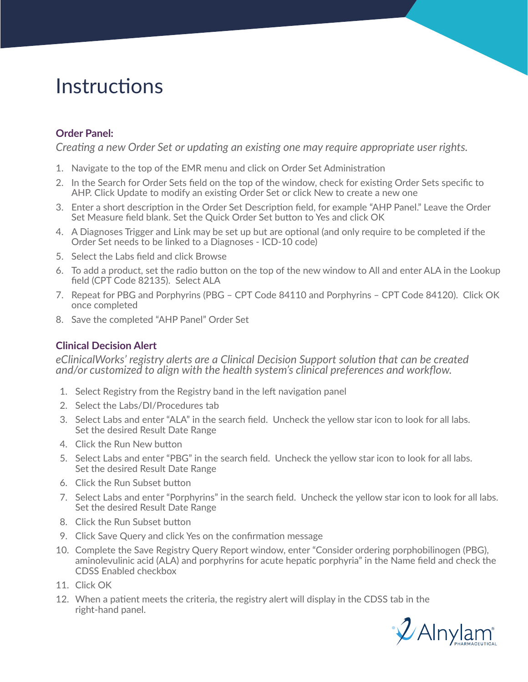## **Instructions**

### **Order Panel:**

*Creating a new Order Set or updating an existing one may require appropriate user rights.* 

- 1. Navigate to the top of the EMR menu and click on Order Set Administration
- 2. In the Search for Order Sets field on the top of the window, check for existing Order Sets specific to AHP. Click Update to modify an existing Order Set or click New to create a new one
- 3. Enter a short description in the Order Set Description field, for example "AHP Panel." Leave the Order Set Measure field blank. Set the Quick Order Set button to Yes and click OK
- 4. A Diagnoses Trigger and Link may be set up but are optional (and only require to be completed if the Order Set needs to be linked to a Diagnoses - ICD-10 code)
- 5. Select the Labs field and click Browse
- 6. To add a product, set the radio button on the top of the new window to All and enter ALA in the Lookup field (CPT Code 82135). Select ALA
- 7. Repeat for PBG and Porphyrins (PBG CPT Code 84110 and Porphyrins CPT Code 84120). Click OK once completed
- 8. Save the completed "AHP Panel" Order Set

### **Clinical Decision Alert**

*eClinicalWorks' registry alerts are a Clinical Decision Support solution that can be created and/or customized to align with the health system's clinical preferences and workflow.* 

- 1. Select Registry from the Registry band in the left navigation panel
- 2. Select the Labs/DI/Procedures tab
- 3. Select Labs and enter "ALA" in the search field. Uncheck the yellow star icon to look for all labs. Set the desired Result Date Range
- 4. Click the Run New button
- 5. Select Labs and enter "PBG" in the search field. Uncheck the yellow star icon to look for all labs. Set the desired Result Date Range
- 6. Click the Run Subset button
- 7. Select Labs and enter "Porphyrins" in the search field. Uncheck the yellow star icon to look for all labs. Set the desired Result Date Range
- 8. Click the Run Subset button
- 9. Click Save Query and click Yes on the confirmation message
- 10. Complete the Save Registry Query Report window, enter "Consider ordering porphobilinogen (PBG), aminolevulinic acid (ALA) and porphyrins for acute hepatic porphyria" in the Name field and check the CDSS Enabled checkbox
- 11. Click OK
- 12. When a patient meets the criteria, the registry alert will display in the CDSS tab in the right-hand panel.